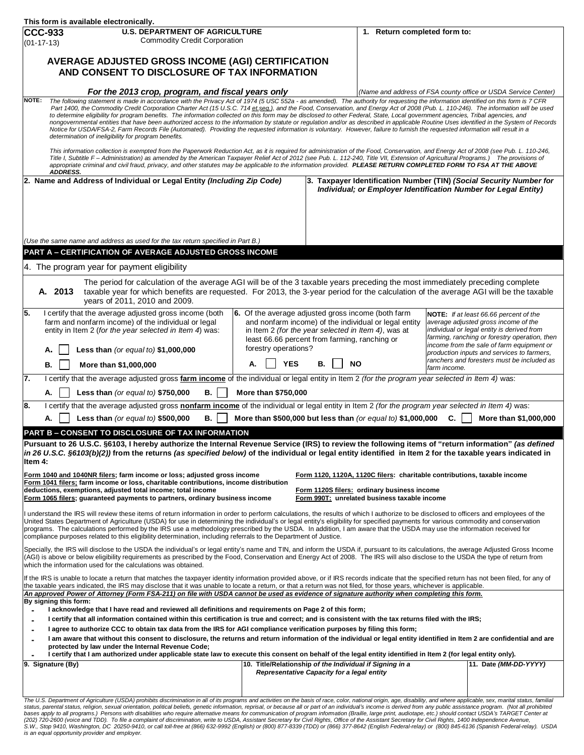|                                                                                                                                                                                                                                                                                                                                                         |                                                                                                                                                                                                                                                                                                                                                                             | This form is available electronically.                                                                                                                                                                                                                                                                                                                                                                                                                      |                     |  |                      |                                                                                                                                        |  |                                                                                                              |                              |                                                                                            |  |  |
|---------------------------------------------------------------------------------------------------------------------------------------------------------------------------------------------------------------------------------------------------------------------------------------------------------------------------------------------------------|-----------------------------------------------------------------------------------------------------------------------------------------------------------------------------------------------------------------------------------------------------------------------------------------------------------------------------------------------------------------------------|-------------------------------------------------------------------------------------------------------------------------------------------------------------------------------------------------------------------------------------------------------------------------------------------------------------------------------------------------------------------------------------------------------------------------------------------------------------|---------------------|--|----------------------|----------------------------------------------------------------------------------------------------------------------------------------|--|--------------------------------------------------------------------------------------------------------------|------------------------------|--------------------------------------------------------------------------------------------|--|--|
|                                                                                                                                                                                                                                                                                                                                                         | <b>CCC-933</b><br><b>U.S. DEPARTMENT OF AGRICULTURE</b>                                                                                                                                                                                                                                                                                                                     |                                                                                                                                                                                                                                                                                                                                                                                                                                                             |                     |  |                      |                                                                                                                                        |  |                                                                                                              | 1. Return completed form to: |                                                                                            |  |  |
| <b>Commodity Credit Corporation</b><br>$(01-17-13)$                                                                                                                                                                                                                                                                                                     |                                                                                                                                                                                                                                                                                                                                                                             |                                                                                                                                                                                                                                                                                                                                                                                                                                                             |                     |  |                      |                                                                                                                                        |  |                                                                                                              |                              |                                                                                            |  |  |
| AVERAGE ADJUSTED GROSS INCOME (AGI) CERTIFICATION                                                                                                                                                                                                                                                                                                       |                                                                                                                                                                                                                                                                                                                                                                             |                                                                                                                                                                                                                                                                                                                                                                                                                                                             |                     |  |                      |                                                                                                                                        |  |                                                                                                              |                              |                                                                                            |  |  |
| AND CONSENT TO DISCLOSURE OF TAX INFORMATION                                                                                                                                                                                                                                                                                                            |                                                                                                                                                                                                                                                                                                                                                                             |                                                                                                                                                                                                                                                                                                                                                                                                                                                             |                     |  |                      |                                                                                                                                        |  |                                                                                                              |                              |                                                                                            |  |  |
|                                                                                                                                                                                                                                                                                                                                                         |                                                                                                                                                                                                                                                                                                                                                                             |                                                                                                                                                                                                                                                                                                                                                                                                                                                             |                     |  |                      |                                                                                                                                        |  |                                                                                                              |                              |                                                                                            |  |  |
| For the 2013 crop, program, and fiscal years only<br>The following statement is made in accordance with the Privacy Act of 1974 (5 USC 552a - as amended). The authority for requesting the information identified on this form is 7 CFR<br>NOTE:                                                                                                       |                                                                                                                                                                                                                                                                                                                                                                             |                                                                                                                                                                                                                                                                                                                                                                                                                                                             |                     |  |                      |                                                                                                                                        |  | (Name and address of FSA county office or USDA Service Center)                                               |                              |                                                                                            |  |  |
|                                                                                                                                                                                                                                                                                                                                                         | Part 1400, the Commodity Credit Corporation Charter Act (15 U.S.C. 714 et.seq.), and the Food, Conservation, and Energy Act of 2008 (Pub. L. 110-246). The information will be used                                                                                                                                                                                         |                                                                                                                                                                                                                                                                                                                                                                                                                                                             |                     |  |                      |                                                                                                                                        |  |                                                                                                              |                              |                                                                                            |  |  |
|                                                                                                                                                                                                                                                                                                                                                         | to determine eligibility for program benefits. The information collected on this form may be disclosed to other Federal, State, Local government agencies, Tribal agencies, and<br>nongovernmental entities that have been authorized access to the information by statute or regulation and/or as described in applicable Routine Uses identified in the System of Records |                                                                                                                                                                                                                                                                                                                                                                                                                                                             |                     |  |                      |                                                                                                                                        |  |                                                                                                              |                              |                                                                                            |  |  |
|                                                                                                                                                                                                                                                                                                                                                         | Notice for USDA/FSA-2, Farm Records File (Automated). Providing the requested information is voluntary. However, failure to furnish the requested information will result in a<br>determination of ineligibility for program benefits.                                                                                                                                      |                                                                                                                                                                                                                                                                                                                                                                                                                                                             |                     |  |                      |                                                                                                                                        |  |                                                                                                              |                              |                                                                                            |  |  |
|                                                                                                                                                                                                                                                                                                                                                         | This information collection is exempted from the Paperwork Reduction Act, as it is required for administration of the Food, Conservation, and Energy Act of 2008 (see Pub. L. 110-246,                                                                                                                                                                                      |                                                                                                                                                                                                                                                                                                                                                                                                                                                             |                     |  |                      |                                                                                                                                        |  |                                                                                                              |                              |                                                                                            |  |  |
| Title I, Subtitle F-Administration) as amended by the American Taxpayer Relief Act of 2012 (see Pub. L. 112-240, Title VII, Extension of Agricultural Programs.) The provisions of<br>appropriate criminal and civil fraud, privacy, and other statutes may be applicable to the information provided. PLEASE RETURN COMPLETED FORM TO FSA AT THE ABOVE |                                                                                                                                                                                                                                                                                                                                                                             |                                                                                                                                                                                                                                                                                                                                                                                                                                                             |                     |  |                      |                                                                                                                                        |  |                                                                                                              |                              |                                                                                            |  |  |
| <b>ADDRESS.</b>                                                                                                                                                                                                                                                                                                                                         |                                                                                                                                                                                                                                                                                                                                                                             |                                                                                                                                                                                                                                                                                                                                                                                                                                                             |                     |  |                      |                                                                                                                                        |  |                                                                                                              |                              |                                                                                            |  |  |
| 2. Name and Address of Individual or Legal Entity (Including Zip Code)                                                                                                                                                                                                                                                                                  |                                                                                                                                                                                                                                                                                                                                                                             |                                                                                                                                                                                                                                                                                                                                                                                                                                                             |                     |  |                      | 3. Taxpayer Identification Number (TIN) (Social Security Number for<br>Individual; or Employer Identification Number for Legal Entity) |  |                                                                                                              |                              |                                                                                            |  |  |
|                                                                                                                                                                                                                                                                                                                                                         |                                                                                                                                                                                                                                                                                                                                                                             |                                                                                                                                                                                                                                                                                                                                                                                                                                                             |                     |  |                      |                                                                                                                                        |  |                                                                                                              |                              |                                                                                            |  |  |
|                                                                                                                                                                                                                                                                                                                                                         |                                                                                                                                                                                                                                                                                                                                                                             |                                                                                                                                                                                                                                                                                                                                                                                                                                                             |                     |  |                      |                                                                                                                                        |  |                                                                                                              |                              |                                                                                            |  |  |
|                                                                                                                                                                                                                                                                                                                                                         |                                                                                                                                                                                                                                                                                                                                                                             |                                                                                                                                                                                                                                                                                                                                                                                                                                                             |                     |  |                      |                                                                                                                                        |  |                                                                                                              |                              |                                                                                            |  |  |
| (Use the same name and address as used for the tax return specified in Part B.)                                                                                                                                                                                                                                                                         |                                                                                                                                                                                                                                                                                                                                                                             |                                                                                                                                                                                                                                                                                                                                                                                                                                                             |                     |  |                      |                                                                                                                                        |  |                                                                                                              |                              |                                                                                            |  |  |
|                                                                                                                                                                                                                                                                                                                                                         | PART A - CERTIFICATION OF AVERAGE ADJUSTED GROSS INCOME                                                                                                                                                                                                                                                                                                                     |                                                                                                                                                                                                                                                                                                                                                                                                                                                             |                     |  |                      |                                                                                                                                        |  |                                                                                                              |                              |                                                                                            |  |  |
|                                                                                                                                                                                                                                                                                                                                                         |                                                                                                                                                                                                                                                                                                                                                                             | 4. The program year for payment eligibility                                                                                                                                                                                                                                                                                                                                                                                                                 |                     |  |                      |                                                                                                                                        |  |                                                                                                              |                              |                                                                                            |  |  |
|                                                                                                                                                                                                                                                                                                                                                         |                                                                                                                                                                                                                                                                                                                                                                             | The period for calculation of the average AGI will be of the 3 taxable years preceding the most immediately preceding complete                                                                                                                                                                                                                                                                                                                              |                     |  |                      |                                                                                                                                        |  |                                                                                                              |                              |                                                                                            |  |  |
|                                                                                                                                                                                                                                                                                                                                                         | A. 2013                                                                                                                                                                                                                                                                                                                                                                     | taxable year for which benefits are requested. For 2013, the 3-year period for the calculation of the average AGI will be the taxable<br>years of 2011, 2010 and 2009.                                                                                                                                                                                                                                                                                      |                     |  |                      |                                                                                                                                        |  |                                                                                                              |                              |                                                                                            |  |  |
| 5.                                                                                                                                                                                                                                                                                                                                                      |                                                                                                                                                                                                                                                                                                                                                                             | I certify that the average adjusted gross income (both                                                                                                                                                                                                                                                                                                                                                                                                      |                     |  |                      |                                                                                                                                        |  | 6. Of the average adjusted gross income (both farm                                                           |                              | NOTE: If at least 66.66 percent of the                                                     |  |  |
|                                                                                                                                                                                                                                                                                                                                                         |                                                                                                                                                                                                                                                                                                                                                                             | farm and nonfarm income) of the individual or legal<br>entity in Item 2 (for the year selected in Item 4) was:                                                                                                                                                                                                                                                                                                                                              |                     |  |                      |                                                                                                                                        |  | and nonfarm income) of the individual or legal entity<br>in Item 2 (for the year selected in Item 4), was at |                              | average adjusted gross income of the<br>individual or legal entity is derived from         |  |  |
|                                                                                                                                                                                                                                                                                                                                                         |                                                                                                                                                                                                                                                                                                                                                                             |                                                                                                                                                                                                                                                                                                                                                                                                                                                             |                     |  |                      |                                                                                                                                        |  | least 66.66 percent from farming, ranching or                                                                |                              | farming, ranching or forestry operation, then<br>income from the sale of farm equipment or |  |  |
|                                                                                                                                                                                                                                                                                                                                                         | А.                                                                                                                                                                                                                                                                                                                                                                          | Less than (or equal to) $$1,000,000$                                                                                                                                                                                                                                                                                                                                                                                                                        |                     |  | forestry operations? |                                                                                                                                        |  |                                                                                                              |                              | production inputs and services to farmers,                                                 |  |  |
|                                                                                                                                                                                                                                                                                                                                                         | В.                                                                                                                                                                                                                                                                                                                                                                          | More than \$1,000,000                                                                                                                                                                                                                                                                                                                                                                                                                                       | А.                  |  | <b>YES</b>           | В.                                                                                                                                     |  | <b>NO</b>                                                                                                    | farm income.                 | ranchers and foresters must be included as                                                 |  |  |
| 7.                                                                                                                                                                                                                                                                                                                                                      |                                                                                                                                                                                                                                                                                                                                                                             | I certify that the average adjusted gross farm income of the individual or legal entity in Item 2 (for the program year selected in Item 4) was:                                                                                                                                                                                                                                                                                                            |                     |  |                      |                                                                                                                                        |  |                                                                                                              |                              |                                                                                            |  |  |
|                                                                                                                                                                                                                                                                                                                                                         | А.                                                                                                                                                                                                                                                                                                                                                                          | Less than (or equal to) \$750,000<br>В.                                                                                                                                                                                                                                                                                                                                                                                                                     | More than \$750,000 |  |                      |                                                                                                                                        |  |                                                                                                              |                              |                                                                                            |  |  |
| 8.                                                                                                                                                                                                                                                                                                                                                      |                                                                                                                                                                                                                                                                                                                                                                             | I certify that the average adjusted gross nonfarm income of the individual or legal entity in Item 2 (for the program year selected in Item 4) was:                                                                                                                                                                                                                                                                                                         |                     |  |                      |                                                                                                                                        |  |                                                                                                              |                              |                                                                                            |  |  |
|                                                                                                                                                                                                                                                                                                                                                         | More than \$500,000 but less than (or equal to) \$1,000,000<br>More than \$1,000,000<br>Less than (or equal to) \$500,000<br>В.<br>C.<br>А.                                                                                                                                                                                                                                 |                                                                                                                                                                                                                                                                                                                                                                                                                                                             |                     |  |                      |                                                                                                                                        |  |                                                                                                              |                              |                                                                                            |  |  |
|                                                                                                                                                                                                                                                                                                                                                         |                                                                                                                                                                                                                                                                                                                                                                             | <b>PART B - CONSENT TO DISCLOSURE OF TAX INFORMATION</b>                                                                                                                                                                                                                                                                                                                                                                                                    |                     |  |                      |                                                                                                                                        |  |                                                                                                              |                              |                                                                                            |  |  |
|                                                                                                                                                                                                                                                                                                                                                         |                                                                                                                                                                                                                                                                                                                                                                             | Pursuant to 26 U.S.C. §6103, I hereby authorize the Internal Revenue Service (IRS) to review the following items of "return information" (as defined                                                                                                                                                                                                                                                                                                        |                     |  |                      |                                                                                                                                        |  |                                                                                                              |                              |                                                                                            |  |  |
| Item 4:                                                                                                                                                                                                                                                                                                                                                 |                                                                                                                                                                                                                                                                                                                                                                             | in 26 U.S.C. §6103(b)(2)) from the returns (as specified below) of the individual or legal entity identified in Item 2 for the taxable years indicated in                                                                                                                                                                                                                                                                                                   |                     |  |                      |                                                                                                                                        |  |                                                                                                              |                              |                                                                                            |  |  |
|                                                                                                                                                                                                                                                                                                                                                         |                                                                                                                                                                                                                                                                                                                                                                             | Form 1040 and 1040NR filers; farm income or loss; adjusted gross income                                                                                                                                                                                                                                                                                                                                                                                     |                     |  |                      |                                                                                                                                        |  | Form 1120, 1120A, 1120C filers: charitable contributions, taxable income                                     |                              |                                                                                            |  |  |
|                                                                                                                                                                                                                                                                                                                                                         |                                                                                                                                                                                                                                                                                                                                                                             | Form 1041 filers; farm income or loss, charitable contributions, income distribution<br>deductions, exemptions, adjusted total income; total income                                                                                                                                                                                                                                                                                                         |                     |  |                      |                                                                                                                                        |  | Form 1120S filers: ordinary business income                                                                  |                              |                                                                                            |  |  |
|                                                                                                                                                                                                                                                                                                                                                         |                                                                                                                                                                                                                                                                                                                                                                             | Form 1065 filers; guaranteed payments to partners, ordinary business income                                                                                                                                                                                                                                                                                                                                                                                 |                     |  |                      |                                                                                                                                        |  | Form 990T: unrelated business taxable income                                                                 |                              |                                                                                            |  |  |
|                                                                                                                                                                                                                                                                                                                                                         |                                                                                                                                                                                                                                                                                                                                                                             | understand the IRS will review these items of return information in order to perform calculations, the results of which I authorize to be disclosed to officers and employees of the                                                                                                                                                                                                                                                                        |                     |  |                      |                                                                                                                                        |  |                                                                                                              |                              |                                                                                            |  |  |
|                                                                                                                                                                                                                                                                                                                                                         |                                                                                                                                                                                                                                                                                                                                                                             | United States Department of Agriculture (USDA) for use in determining the individual's or legal entity's eligibility for specified payments for various commodity and conservation<br>programs. The calculations performed by the IRS use a methodology prescribed by the USDA. In addition, I am aware that the USDA may use the information received for                                                                                                  |                     |  |                      |                                                                                                                                        |  |                                                                                                              |                              |                                                                                            |  |  |
|                                                                                                                                                                                                                                                                                                                                                         |                                                                                                                                                                                                                                                                                                                                                                             | compliance purposes related to this eligibility determination, including referrals to the Department of Justice.                                                                                                                                                                                                                                                                                                                                            |                     |  |                      |                                                                                                                                        |  |                                                                                                              |                              |                                                                                            |  |  |
|                                                                                                                                                                                                                                                                                                                                                         |                                                                                                                                                                                                                                                                                                                                                                             | Specially, the IRS will disclose to the USDA the individual's or legal entity's name and TIN, and inform the USDA if, pursuant to its calculations, the average Adjusted Gross Income                                                                                                                                                                                                                                                                       |                     |  |                      |                                                                                                                                        |  |                                                                                                              |                              |                                                                                            |  |  |
|                                                                                                                                                                                                                                                                                                                                                         |                                                                                                                                                                                                                                                                                                                                                                             | (AGI) is above or below eligibility requirements as prescribed by the Food, Conservation and Energy Act of 2008. The IRS will also disclose to the USDA the type of return from<br>which the information used for the calculations was obtained.                                                                                                                                                                                                            |                     |  |                      |                                                                                                                                        |  |                                                                                                              |                              |                                                                                            |  |  |
|                                                                                                                                                                                                                                                                                                                                                         |                                                                                                                                                                                                                                                                                                                                                                             | If the IRS is unable to locate a return that matches the taxpayer identity information provided above, or if IRS records indicate that the specified return has not been filed, for any of                                                                                                                                                                                                                                                                  |                     |  |                      |                                                                                                                                        |  |                                                                                                              |                              |                                                                                            |  |  |
|                                                                                                                                                                                                                                                                                                                                                         |                                                                                                                                                                                                                                                                                                                                                                             | the taxable years indicated, the IRS may disclose that it was unable to locate a return, or that a return was not filed, for those years, whichever is applicable.<br>An approved Power of Attorney (Form FSA-211) on file with USDA cannot be used as evidence of signature authority when completing this form.                                                                                                                                           |                     |  |                      |                                                                                                                                        |  |                                                                                                              |                              |                                                                                            |  |  |
|                                                                                                                                                                                                                                                                                                                                                         | By signing this form:                                                                                                                                                                                                                                                                                                                                                       |                                                                                                                                                                                                                                                                                                                                                                                                                                                             |                     |  |                      |                                                                                                                                        |  |                                                                                                              |                              |                                                                                            |  |  |
| ۰<br>٠                                                                                                                                                                                                                                                                                                                                                  |                                                                                                                                                                                                                                                                                                                                                                             | I acknowledge that I have read and reviewed all definitions and requirements on Page 2 of this form;<br>I certify that all information contained within this certification is true and correct; and is consistent with the tax returns filed with the IRS;                                                                                                                                                                                                  |                     |  |                      |                                                                                                                                        |  |                                                                                                              |                              |                                                                                            |  |  |
| $\blacksquare$                                                                                                                                                                                                                                                                                                                                          |                                                                                                                                                                                                                                                                                                                                                                             | I agree to authorize CCC to obtain tax data from the IRS for AGI compliance verification purposes by filing this form;                                                                                                                                                                                                                                                                                                                                      |                     |  |                      |                                                                                                                                        |  |                                                                                                              |                              |                                                                                            |  |  |
|                                                                                                                                                                                                                                                                                                                                                         | I am aware that without this consent to disclosure, the returns and return information of the individual or legal entity identified in Item 2 are confidential and are                                                                                                                                                                                                      |                                                                                                                                                                                                                                                                                                                                                                                                                                                             |                     |  |                      |                                                                                                                                        |  |                                                                                                              |                              |                                                                                            |  |  |
| protected by law under the Internal Revenue Code;<br>I certify that I am authorized under applicable state law to execute this consent on behalf of the legal entity identified in Item 2 (for legal entity only).                                                                                                                                      |                                                                                                                                                                                                                                                                                                                                                                             |                                                                                                                                                                                                                                                                                                                                                                                                                                                             |                     |  |                      |                                                                                                                                        |  |                                                                                                              |                              |                                                                                            |  |  |
|                                                                                                                                                                                                                                                                                                                                                         | 9. Signature (By)                                                                                                                                                                                                                                                                                                                                                           |                                                                                                                                                                                                                                                                                                                                                                                                                                                             |                     |  |                      |                                                                                                                                        |  | 10. Title/Relationship of the Individual if Signing in a<br>Representative Capacity for a legal entity       |                              | 11. Date (MM-DD-YYYY)                                                                      |  |  |
|                                                                                                                                                                                                                                                                                                                                                         |                                                                                                                                                                                                                                                                                                                                                                             |                                                                                                                                                                                                                                                                                                                                                                                                                                                             |                     |  |                      |                                                                                                                                        |  |                                                                                                              |                              |                                                                                            |  |  |
|                                                                                                                                                                                                                                                                                                                                                         |                                                                                                                                                                                                                                                                                                                                                                             |                                                                                                                                                                                                                                                                                                                                                                                                                                                             |                     |  |                      |                                                                                                                                        |  |                                                                                                              |                              |                                                                                            |  |  |
|                                                                                                                                                                                                                                                                                                                                                         |                                                                                                                                                                                                                                                                                                                                                                             | The U.S. Department of Agriculture (USDA) prohibits discrimination in all of its programs and activities on the basis of race, color, national origin, age, disability, and where applicable, sex, marital status, familial<br>status, parental status, religion, sexual orientation, political beliefs, genetic information, reprisal, or because all or part of an individual's income is derived from any public assistance program. (Not all prohibited |                     |  |                      |                                                                                                                                        |  |                                                                                                              |                              |                                                                                            |  |  |

The U.S. Department of Agriculture (USDA) prohibits discrimination in all of its programs and activities on the basis of race, color, national origin, age, disability, and where applicable, sex, marital status, familial st